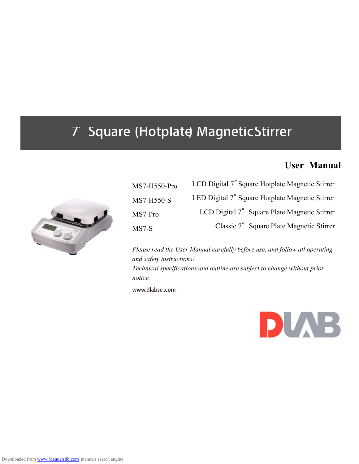# **User Manual**



| MS7-H550-Pro | LCD Digital 7" Square Hotplate Magnetic Stirrer |
|--------------|-------------------------------------------------|
| MS7-H550-S   | LED Digital 7" Square Hotplate Magnetic Stirrer |
| MS7-Pro      | LCD Digital 7" Square Plate Magnetic Stirrer    |
| $MS7-S$      | Classic 7" Square Plate Magnetic Stirrer        |

*Please read the User Manual carefully before use, and follow all operating and safety instructions! Technical specifications and outline are subject to change without prior notice.* www.dlabsci.com

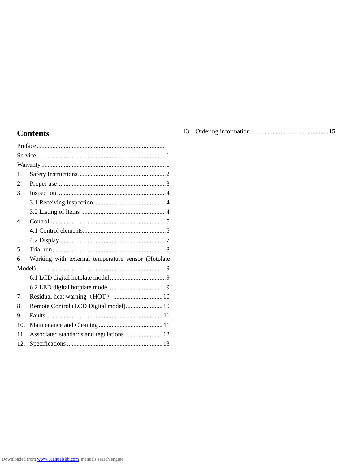### **Contents**

| 1.               |                                                    |
|------------------|----------------------------------------------------|
| 2.               |                                                    |
| 3.               |                                                    |
|                  |                                                    |
|                  |                                                    |
| $\overline{4}$ . |                                                    |
|                  |                                                    |
|                  |                                                    |
| .5.              |                                                    |
| б.               | Working with external temperature sensor (Hotplate |
|                  |                                                    |
|                  |                                                    |
|                  |                                                    |
| 7.               |                                                    |
| 8.               | Remote Control (LCD Digital model) 10              |
| 9.               |                                                    |
| 10.              |                                                    |
| 11.              |                                                    |
| 12.              |                                                    |

|--|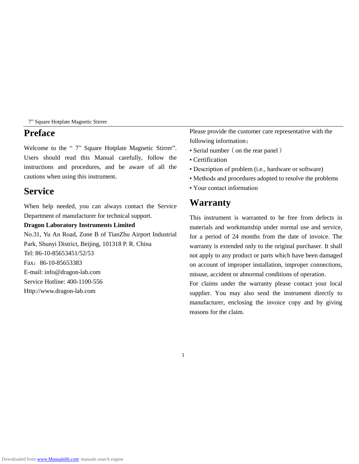#### **Preface**

Welcome to the "7" Square Hotplate Magnetic Stirrer". Users should read this Manual carefully, follow the instructions and procedures, and be aware of all the cautions when using this instrument.

### **Service**

When help needed, you can always contact the Service Department of manufacturer for technical support.

#### **Dragon Laboratory Instruments Limited**

No.31, Yu An Road, Zone B of TianZhu Airport Industrial Park, Shunyi District, Beijing, 101318 P. R. China Tel: 86-10-85653451/52/53 Fax:86-10-85653383 E-mail: info@dragon-lab.com Service Hotline: 400-1100-556 Http://www.dragon-lab.com

Please provide the customer care representative with the following information:

- Serial number (on the rear panel)
- Certification
- Description of problem (i.e., hardware or software)
- Methods and procedures adopted to resolve the problems
- Your contact information

### **Warranty**

This instrument is warranted to be free from defects in materials and workmanship under normal use and service, for a period of 24 months from the date of invoice. The warranty is extended only to the original purchaser. It shall not apply to any product or parts which have been damaged on account of improper installation, improper connections, misuse, accident or abnormal conditions of operation.

For claims under the warranty please contact your local supplier. You may also send the instrument directly to manufacturer, enclosing the invoice copy and by giving reasons for the claim.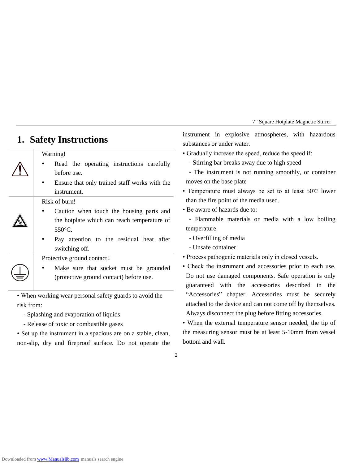### **1. Safety Instructions**

#### Warning!

- Read the operating instructions carefully before use.
- Ensure that only trained staff works with the instrument.

#### Risk of burn!

- Caution when touch the housing parts and the hotplate which can reach temperature of  $550 \, \text{C}$ .
- Pay attention to the residual heat after switching off.

Protective ground contact!

Make sure that socket must be grounded (protective ground contact) before use.

• When working wear personal safety guards to avoid the risk from:

- Splashing and evaporation of liquids

- Release of toxic or combustible gases

• Set up the instrument in a spacious are on a stable, clean, non-slip, dry and fireproof surface. Do not operate the instrument in explosive atmospheres, with hazardous substances or under water.

- Gradually increase the speed, reduce the speed if:
	- Stirring bar breaks away due to high speed
- The instrument is not running smoothly, or container moves on the base plate
- Temperature must always be set to at least 50℃ lower than the fire point of the media used.
- Be aware of hazards due to:

- Flammable materials or media with a low boiling temperature

- Overfilling of media
- Unsafe container
- Process pathogenic materials only in closed vessels.
- Check the instrument and accessories prior to each use. Do not use damaged components. Safe operation is only guaranteed with the accessories described in the "Accessories" chapter. Accessories must be securely attached to the device and can not come off by themselves. Always disconnect the plug before fitting accessories.

• When the external temperature sensor needed, the tip of the measuring sensor must be at least 5-10mm from vessel bottom and wall.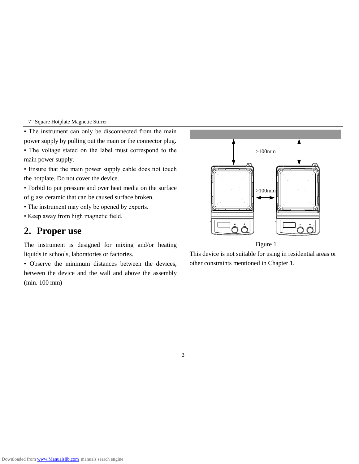• The instrument can only be disconnected from the main power supply by pulling out the main or the connector plug.

- The voltage stated on the label must correspond to the main power supply.
- Ensure that the main power supply cable does not touch the hotplate. Do not cover the device.

• Forbid to put pressure and over heat media on the surface of glass ceramic that can be caused surface broken.

- The instrument may only be opened by experts.
- Keep away from high magnetic field.

### **2. Proper use**

The instrument is designed for mixing and/or heating liquids in schools, laboratories or factories.

• Observe the minimum distances between the devices, between the device and the wall and above the assembly (min. 100 mm)



Figure 1

This device is not suitable for using in residential areas or other constraints mentioned in Chapter 1.

3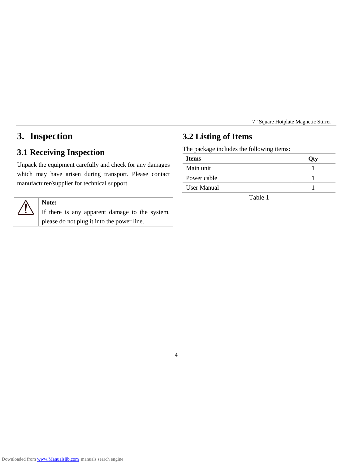# **3. Inspection**

### **3.1 Receiving Inspection**

Unpack the equipment carefully and check for any damages which may have arisen during transport. Please contact manufacturer/supplier for technical support.

#### **Note:**

If there is any apparent damage to the system, please do not plug it into the power line.

### **3.2 Listing of Items**

The package includes the following items:

| <b>Items</b> |  |
|--------------|--|
| Main unit    |  |
| Power cable  |  |
| User Manual  |  |

Table 1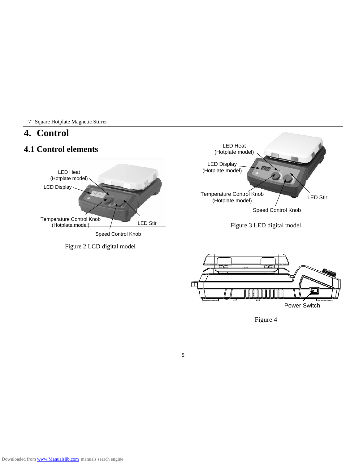### **4. Control**

# **4.1 Control elements**







Figure 3 LED digital model



Figure 4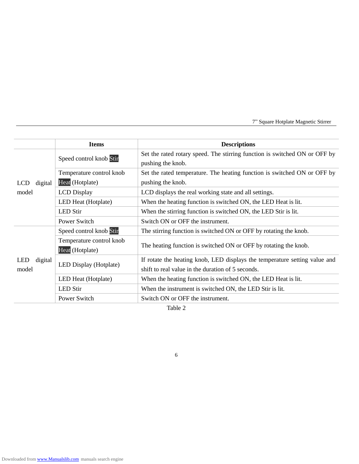|                                | <b>Items</b>                                     | <b>Descriptions</b>                                                                                                             |  |
|--------------------------------|--------------------------------------------------|---------------------------------------------------------------------------------------------------------------------------------|--|
|                                | Speed control knob Stir                          | Set the rated rotary speed. The stirring function is switched ON or OFF by<br>pushing the knob.                                 |  |
|                                | Temperature control knob                         | Set the rated temperature. The heating function is switched ON or OFF by                                                        |  |
| <b>LCD</b><br>digital          | Heat (Hotplate)                                  | pushing the knob.                                                                                                               |  |
| model                          | <b>LCD</b> Display                               | LCD displays the real working state and all settings.                                                                           |  |
|                                | LED Heat (Hotplate)                              | When the heating function is switched ON, the LED Heat is lit.                                                                  |  |
|                                | <b>LED</b> Stir                                  | When the stirring function is switched ON, the LED Stir is lit.                                                                 |  |
|                                | Power Switch                                     | Switch ON or OFF the instrument.                                                                                                |  |
| <b>LED</b><br>digital<br>model | Speed control knob Stir                          | The stirring function is switched ON or OFF by rotating the knob.                                                               |  |
|                                | Temperature control knob<br>Heat (Hotplate)      | The heating function is switched ON or OFF by rotating the knob.                                                                |  |
|                                | LED Display (Hotplate)                           | If rotate the heating knob, LED displays the temperature setting value and<br>shift to real value in the duration of 5 seconds. |  |
|                                | LED Heat (Hotplate)                              | When the heating function is switched ON, the LED Heat is lit.                                                                  |  |
|                                | <b>LED Stir</b>                                  | When the instrument is switched ON, the LED Stir is lit.                                                                        |  |
|                                | Power Switch<br>Switch ON or OFF the instrument. |                                                                                                                                 |  |

Table 2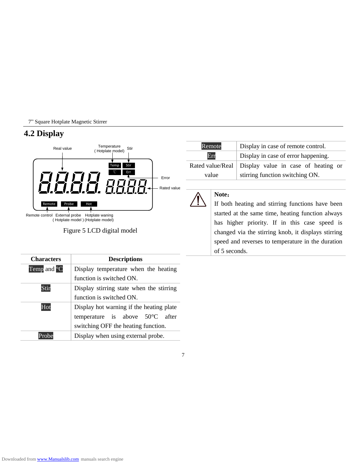#### **4.2 Display**



of 5 seconds.

| <b>Characters</b> | <b>Descriptions</b>                       |  |  |
|-------------------|-------------------------------------------|--|--|
| Temp and C        | Display temperature when the heating      |  |  |
|                   | function is switched ON.                  |  |  |
| Stin              | Display stirring state when the stirring  |  |  |
|                   | function is switched ON.                  |  |  |
| Hot               | Display hot warning if the heating plate  |  |  |
|                   | temperature is above $50 \text{ C}$ after |  |  |
|                   | switching OFF the heating function.       |  |  |
| Probe             | Display when using external probe.        |  |  |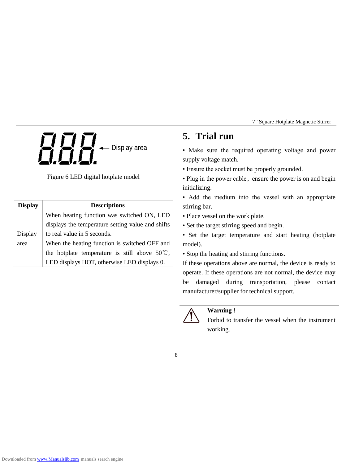

Figure 6 LED digital hotplate model

| <b>Display</b> | <b>Descriptions</b>                                     |  |
|----------------|---------------------------------------------------------|--|
|                | When heating function was switched ON, LED              |  |
|                | displays the temperature setting value and shifts       |  |
| Display        | to real value in 5 seconds.                             |  |
| area           | When the heating function is switched OFF and           |  |
|                | the hotplate temperature is still above $50^{\circ}$ C, |  |
|                | LED displays HOT, otherwise LED displays 0.             |  |

# **5. Trial run**

• Make sure the required operating voltage and power supply voltage match.

• Ensure the socket must be properly grounded.

• Plug in the power cable, ensure the power is on and begin initializing.

• Add the medium into the vessel with an appropriate stirring bar.

• Place vessel on the work plate.

• Set the target stirring speed and begin.

• Set the target temperature and start heating (hotplate model).

• Stop the heating and stirring functions.

If these operations above are normal, the device is ready to operate. If these operations are not normal, the device may be damaged during transportation, please contact manufacturer/supplier for technical support.

#### **Warning !**

Forbid to transfer the vessel when the instrument working.

8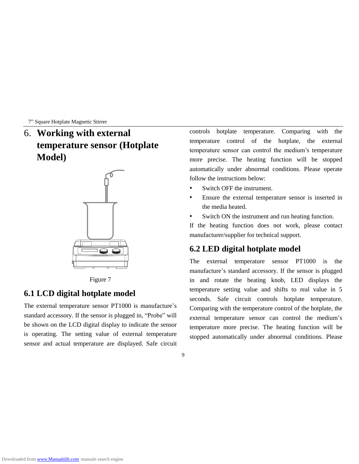6. **Working with external temperature sensor (Hotplate Model)**



Figure 7

#### **6.1 LCD digital hotplate model**

The external temperature sensor PT1000 is manufacture's standard accessory. If the sensor is plugged in, "Probe" will be shown on the LCD digital display to indicate the sensor is operating. The setting value of external temperature sensor and actual temperature are displayed. Safe circuit controls hotplate temperature. Comparing with the temperature control of the hotplate, the external temperature sensor can control the medium's temperature more precise. The heating function will be stopped automatically under abnormal conditions. Please operate follow the instructions below:

- Switch OFF the instrument.
- Ensure the external temperature sensor is inserted in the media heated.
- Switch ON the instrument and run heating function.

If the heating function does not work, please contact manufacturer/supplier for technical support.

#### **6.2 LED digital hotplate model**

The external temperature sensor PT1000 is the manufacture's standard accessory. If the sensor is plugged in and rotate the heating knob, LED displays the temperature setting value and shifts to real value in 5 seconds. Safe circuit controls hotplate temperature. Comparing with the temperature control of the hotplate, the external temperature sensor can control the medium's temperature more precise. The heating function will be stopped automatically under abnormal conditions. Please

<sup>9</sup>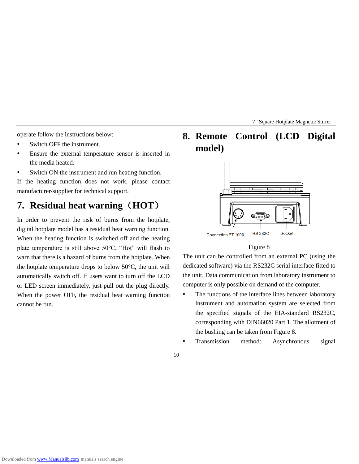operate follow the instructions below:

- Switch OFF the instrument.
- Ensure the external temperature sensor is inserted in the media heated.
- Switch ON the instrument and run heating function.

If the heating function does not work, please contact manufacturer/supplier for technical support.

## **7. Residual heat warning**(**HOT**)

In order to prevent the risk of burns from the hotplate, digital hotplate model has a residual heat warning function. When the heating function is switched off and the heating plate temperature is still above 50°C, "Hot" will flash to warn that there is a hazard of burns from the hotplate. When the hotplate temperature drops to below 50  $\mathbb{C}$ , the unit will automatically switch off. If users want to turn off the LCD or LED screen immediately, just pull out the plug directly. When the power OFF, the residual heat warning function cannot be run.

**8. Remote Control (LCD Digital model)**



#### Figure 8

The unit can be controlled from an external PC (using the dedicated software) via the RS232C serial interface fitted to the unit. Data communication from laboratory instrument to computer is only possible on demand of the computer.

- The functions of the interface lines between laboratory instrument and automation system are selected from the specified signals of the EIA-standard RS232C, corresponding with DIN66020 Part 1. The allotment of the bushing can be taken from Figure 8.
- Transmission method: Asynchronous signal
- 10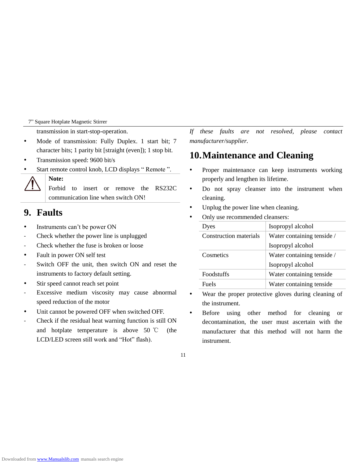transmission in start-stop-operation.

- Mode of transmission: Fully Duplex. 1 start bit; 7 character bits; 1 parity bit [straight (even]); 1 stop bit.
- Transmission speed: 9600 bit/s
- Start remote control knob, LCD displays " Remote ".

#### **Note:**

Forbid to insert or remove the RS232C communication line when switch ON!

#### **9. Faults**

- Instruments can't be power ON
- Check whether the power line is unplugged
- Check whether the fuse is broken or loose
- Fault in power ON self test
- Switch OFF the unit, then switch ON and reset the instruments to factory default setting.
- Stir speed cannot reach set point
- Excessive medium viscosity may cause abnormal speed reduction of the motor
- Unit cannot be powered OFF when switched OFF.
- Check if the residual heat warning function is still ON and hotplate temperature is above 50 ℃ (the LCD/LED screen still work and "Hot" flash).

*If these faults are not resolved, please contact manufacturer/supplier.*

### **10.Maintenance and Cleaning**

- Proper maintenance can keep instruments working properly and lengthen its lifetime.
- Do not spray cleanser into the instrument when cleaning.
- Unplug the power line when cleaning.
- Only use recommended cleansers:

| Isopropyl alcohol          |
|----------------------------|
| Water containing tenside / |
| Isopropyl alcohol          |
| Water containing tenside / |
| Isopropyl alcohol          |
| Water containing tenside   |
| Water containing tenside   |
|                            |

- Wear the proper protective gloves during cleaning of the instrument.
- Before using other method for cleaning or decontamination, the user must ascertain with the manufacturer that this method will not harm the instrument.

<sup>11</sup>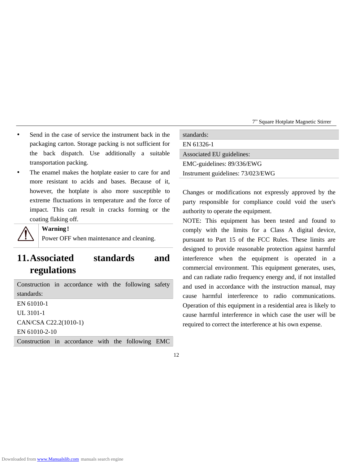- Send in the case of service the instrument back in the packaging carton. Storage packing is not sufficient for the back dispatch. Use additionally a suitable transportation packing.
- The enamel makes the hotplate easier to care for and more resistant to acids and bases. Because of it, however, the hotplate is also more susceptible to extreme fluctuations in temperature and the force of impact. This can result in cracks forming or the coating flaking off.



#### **Warning**!

Power OFF when maintenance and cleaning.

# **11.Associated standards and regulations**

Construction in accordance with the following safety standards: EN 61010-1 UL 3101-1

CAN/CSA C22.2(1010-1)

EN 61010-2-10

Construction in accordance with the following EMC

| standards:                        |
|-----------------------------------|
| EN 61326-1                        |
| Associated EU guidelines:         |
| EMC-guidelines: 89/336/EWG        |
| Instrument guidelines: 73/023/EWG |
|                                   |

Changes or modifications not expressly approved by the party responsible for compliance could void the user's authority to operate the equipment.

NOTE: This equipment has been tested and found to comply with the limits for a Class A digital device, pursuant to Part 15 of the FCC Rules. These limits are designed to provide reasonable protection against harmful interference when the equipment is operated in a commercial environment. This equipment generates, uses, and can radiate radio frequency energy and, if not installed and used in accordance with the instruction manual, may cause harmful interference to radio communications. Operation of this equipment in a residential area is likely to cause harmful interference in which case the user will be required to correct the interference at his own expense.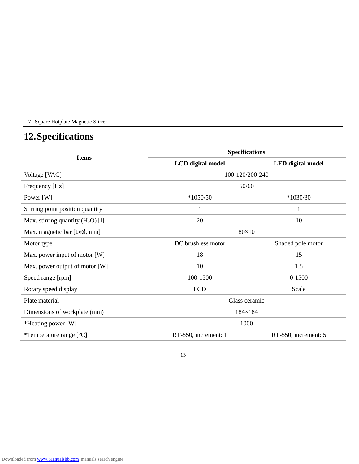# **12.Specifications**

| <b>Items</b>                                 | <b>Specifications</b> |                      |  |
|----------------------------------------------|-----------------------|----------------------|--|
|                                              | LCD digital model     | LED digital model    |  |
| Voltage [VAC]                                | 100-120/200-240       |                      |  |
| Frequency [Hz]                               | 50/60                 |                      |  |
| Power [W]                                    | $*1050/50$            | $*1030/30$           |  |
| Stirring point position quantity             | 1                     | 1                    |  |
| Max. stirring quantity $(H_2O)$ [1]          | 20                    | 10                   |  |
| Max. magnetic bar $[L \times \emptyset, mm]$ | $80\times10$          |                      |  |
| Motor type                                   | DC brushless motor    | Shaded pole motor    |  |
| Max. power input of motor [W]                | 18                    | 15                   |  |
| Max. power output of motor [W]               | 10                    | 1.5                  |  |
| Speed range [rpm]                            | 100-1500              | $0 - 1500$           |  |
| Rotary speed display                         | <b>LCD</b>            | Scale                |  |
| Plate material                               | Glass ceramic         |                      |  |
| Dimensions of workplate (mm)                 | $184\times184$        |                      |  |
| *Heating power [W]                           | 1000                  |                      |  |
| *Temperature range $[\mathcal{C}]$           | RT-550, increment: 1  | RT-550, increment: 5 |  |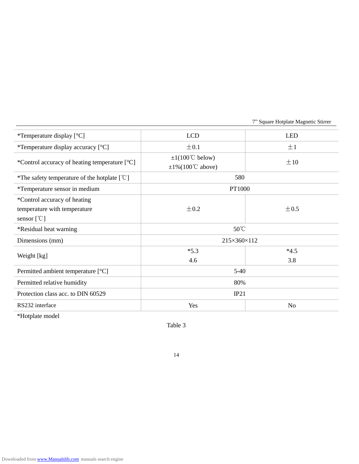| *Temperature display $[$ °C]                             | <b>LCD</b>                             | <b>LED</b>     |
|----------------------------------------------------------|----------------------------------------|----------------|
| *Temperature display accuracy $[$ $\mathbb{C}]$          | $\pm 0.1$                              | $\pm 1$        |
|                                                          | $\pm 1(100^{\circ}C$ below)            |                |
| *Control accuracy of heating temperature $[\mathcal{C}]$ | $\pm 1\% (100^{\circ} \text{C above})$ | $\pm 10$       |
| *The safety temperature of the hotplate $[°C]$           | 580                                    |                |
| *Temperature sensor in medium                            | PT1000                                 |                |
| *Control accuracy of heating                             |                                        |                |
| temperature with temperature                             | $\pm 0.2$                              | $\pm 0.5$      |
| sensor $[$ <sup>°C</sup> $]$                             |                                        |                |
| *Residual heat warning                                   | $50^{\circ}$ C                         |                |
| Dimensions (mm)                                          | 215×360×112                            |                |
|                                                          | $*5.3$                                 | $*4.5$         |
| Weight [kg]                                              | 4.6                                    | 3.8            |
| Permitted ambient temperature $[\mathcal{C}]$            | $5-40$                                 |                |
| Permitted relative humidity                              | 80%                                    |                |
| Protection class acc. to DIN 60529                       | IP21                                   |                |
| RS232 interface                                          | Yes                                    | N <sub>0</sub> |

\*Hotplate model

Table 3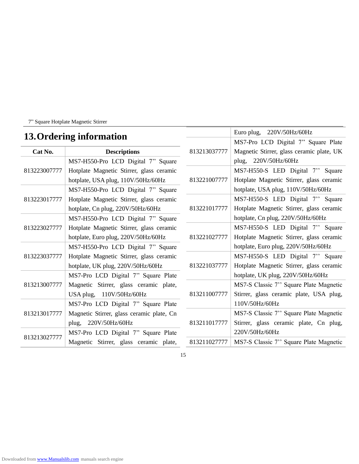# **13.Ordering information**

| 10.01 German Machineson |                                           |              | MS7-Pro LCD Digital 7" Square Plate       |
|-------------------------|-------------------------------------------|--------------|-------------------------------------------|
| Cat No.                 | <b>Descriptions</b>                       | 813213037777 | Magnetic Stirrer, glass ceramic plate, UK |
| 813223007777            | MS7-H550-Pro LCD Digital 7" Square        |              | plug, 220V/50Hz/60Hz                      |
|                         | Hotplate Magnetic Stirrer, glass ceramic  |              | MS7-H550-S LED Digital 7" Square          |
|                         | hotplate, USA plug, 110V/50Hz/60Hz        | 813221007777 | Hotplate Magnetic Stirrer, glass ceramic  |
| 813223017777            | MS7-H550-Pro LCD Digital 7" Square        |              | hotplate, USA plug, 110V/50Hz/60Hz        |
|                         | Hotplate Magnetic Stirrer, glass ceramic  |              | MS7-H550-S LED Digital 7" Square          |
|                         | hotplate, Cn plug, 220V/50Hz/60Hz         | 813221017777 | Hotplate Magnetic Stirrer, glass ceramic  |
| 813223027777            | MS7-H550-Pro LCD Digital 7" Square        |              | hotplate, Cn plug, 220V/50Hz/60Hz         |
|                         | Hotplate Magnetic Stirrer, glass ceramic  |              | MS7-H550-S LED Digital 7" Square          |
|                         | hotplate, Euro plug, 220V/50Hz/60Hz       | 813221027777 | Hotplate Magnetic Stirrer, glass ceramic  |
| 813223037777            | MS7-H550-Pro LCD Digital 7" Square        |              | hotplate, Euro plug, 220V/50Hz/60Hz       |
|                         | Hotplate Magnetic Stirrer, glass ceramic  |              | MS7-H550-S LED Digital 7" Square          |
|                         | hotplate, UK plug, 220V/50Hz/60Hz         | 813221037777 | Hotplate Magnetic Stirrer, glass ceramic  |
| 813213007777            | MS7-Pro LCD Digital 7" Square Plate       |              | hotplate, UK plug, 220V/50Hz/60Hz         |
|                         | Magnetic Stirrer, glass ceramic plate,    |              | MS7-S Classic 7" Square Plate Magnetic    |
|                         | USA plug, 110V/50Hz/60Hz                  | 813211007777 | Stirrer, glass ceramic plate, USA plug,   |
| 813213017777            | MS7-Pro LCD Digital 7" Square Plate       |              | 110V/50Hz/60Hz                            |
|                         | Magnetic Stirrer, glass ceramic plate, Cn |              | MS7-S Classic 7" Square Plate Magnetic    |
|                         | plug, $220V/50Hz/60Hz$                    | 813211017777 | Stirrer, glass ceramic plate, Cn plug,    |
| 813213027777            | MS7-Pro LCD Digital 7" Square Plate       |              | 220V/50Hz/60Hz                            |
|                         | Magnetic Stirrer, glass ceramic plate,    | 813211027777 | MS7-S Classic 7" Square Plate Magnetic    |

Euro plug, 220V/50Hz/60Hz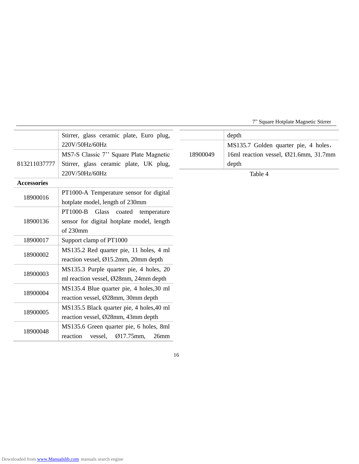|                    | Stirrer, glass ceramic plate, Euro plug,  |          | depth                                 |
|--------------------|-------------------------------------------|----------|---------------------------------------|
|                    | 220V/50Hz/60Hz                            |          | MS135.7 Golden quarter pie, 4 holes,  |
| 813211037777       | MS7-S Classic 7" Square Plate Magnetic    | 18900049 | 16ml reaction vessel, Ø21.6mm, 31.7mm |
|                    | Stirrer, glass ceramic plate, UK plug,    |          | depth                                 |
|                    | 220V/50Hz/60Hz                            |          | Table 4                               |
| <b>Accessories</b> |                                           |          |                                       |
| 18900016           | PT1000-A Temperature sensor for digital   |          |                                       |
|                    | hotplate model, length of 230mm           |          |                                       |
| 18900136           | PT1000-B<br>Glass coated<br>temperature   |          |                                       |
|                    | sensor for digital hotplate model, length |          |                                       |
|                    | of 230mm                                  |          |                                       |
| 18900017           | Support clamp of PT1000                   |          |                                       |
| 18900002           | MS135.2 Red quarter pie, 11 holes, 4 ml   |          |                                       |
|                    | reaction vessel, Ø15.2mm, 20mm depth      |          |                                       |
| 18900003           | MS135.3 Purple quarter pie, 4 holes, 20   |          |                                       |
|                    | ml reaction vessel, Ø28mm, 24mm depth     |          |                                       |
| 18900004           | MS135.4 Blue quarter pie, 4 holes, 30 ml  |          |                                       |
|                    | reaction vessel, Ø28mm, 30mm depth        |          |                                       |
| 18900005           | MS135.5 Black quarter pie, 4 holes, 40 ml |          |                                       |
|                    | reaction vessel, Ø28mm, 43mm depth        |          |                                       |
| 18900048           | MS135.6 Green quarter pie, 6 holes, 8ml   |          |                                       |
|                    | Ø17.75mm,<br>26mm<br>reaction<br>vessel,  |          |                                       |
|                    |                                           |          |                                       |